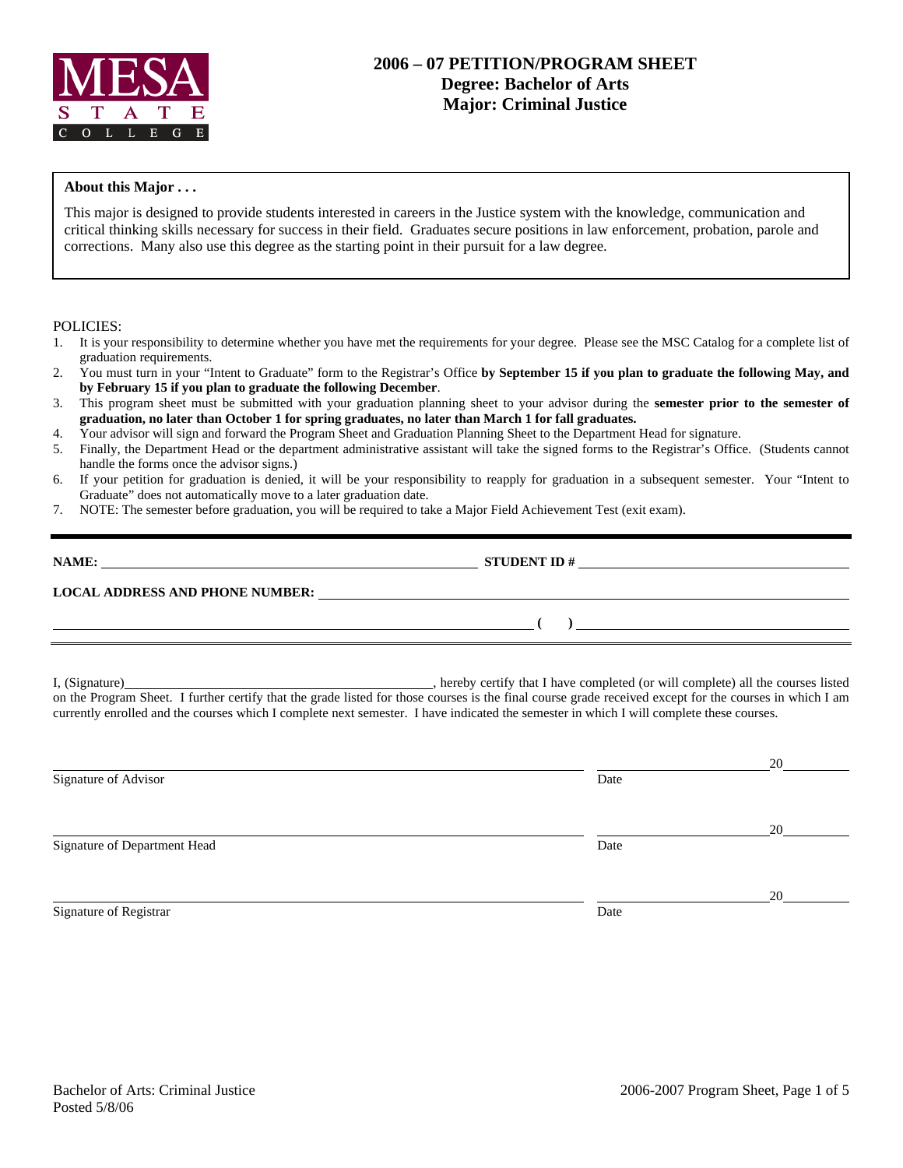

# **2006 – 07 PETITION/PROGRAM SHEET Degree: Bachelor of Arts Major: Criminal Justice**

### **About this Major . . .**

This major is designed to provide students interested in careers in the Justice system with the knowledge, communication and critical thinking skills necessary for success in their field. Graduates secure positions in law enforcement, probation, parole and corrections. Many also use this degree as the starting point in their pursuit for a law degree.

#### POLICIES:

- 1. It is your responsibility to determine whether you have met the requirements for your degree. Please see the MSC Catalog for a complete list of graduation requirements.
- 2. You must turn in your "Intent to Graduate" form to the Registrar's Office **by September 15 if you plan to graduate the following May, and by February 15 if you plan to graduate the following December**.
- 3. This program sheet must be submitted with your graduation planning sheet to your advisor during the **semester prior to the semester of graduation, no later than October 1 for spring graduates, no later than March 1 for fall graduates.**
- 4. Your advisor will sign and forward the Program Sheet and Graduation Planning Sheet to the Department Head for signature.
- 5. Finally, the Department Head or the department administrative assistant will take the signed forms to the Registrar's Office. (Students cannot handle the forms once the advisor signs.)
- 6. If your petition for graduation is denied, it will be your responsibility to reapply for graduation in a subsequent semester. Your "Intent to Graduate" does not automatically move to a later graduation date.
- 7. NOTE: The semester before graduation, you will be required to take a Major Field Achievement Test (exit exam).

| NAME:                                  | <b>STUDENT ID#</b> |
|----------------------------------------|--------------------|
| <b>LOCAL ADDRESS AND PHONE NUMBER:</b> |                    |
|                                        |                    |

I, (Signature) , hereby certify that I have completed (or will complete) all the courses listed on the Program Sheet. I further certify that the grade listed for those courses is the final course grade received except for the courses in which I am currently enrolled and the courses which I complete next semester. I have indicated the semester in which I will complete these courses.

|                              |      | 20 |
|------------------------------|------|----|
| Signature of Advisor         | Date |    |
|                              |      | 20 |
| Signature of Department Head | Date |    |
|                              |      | 20 |
| Signature of Registrar       | Date |    |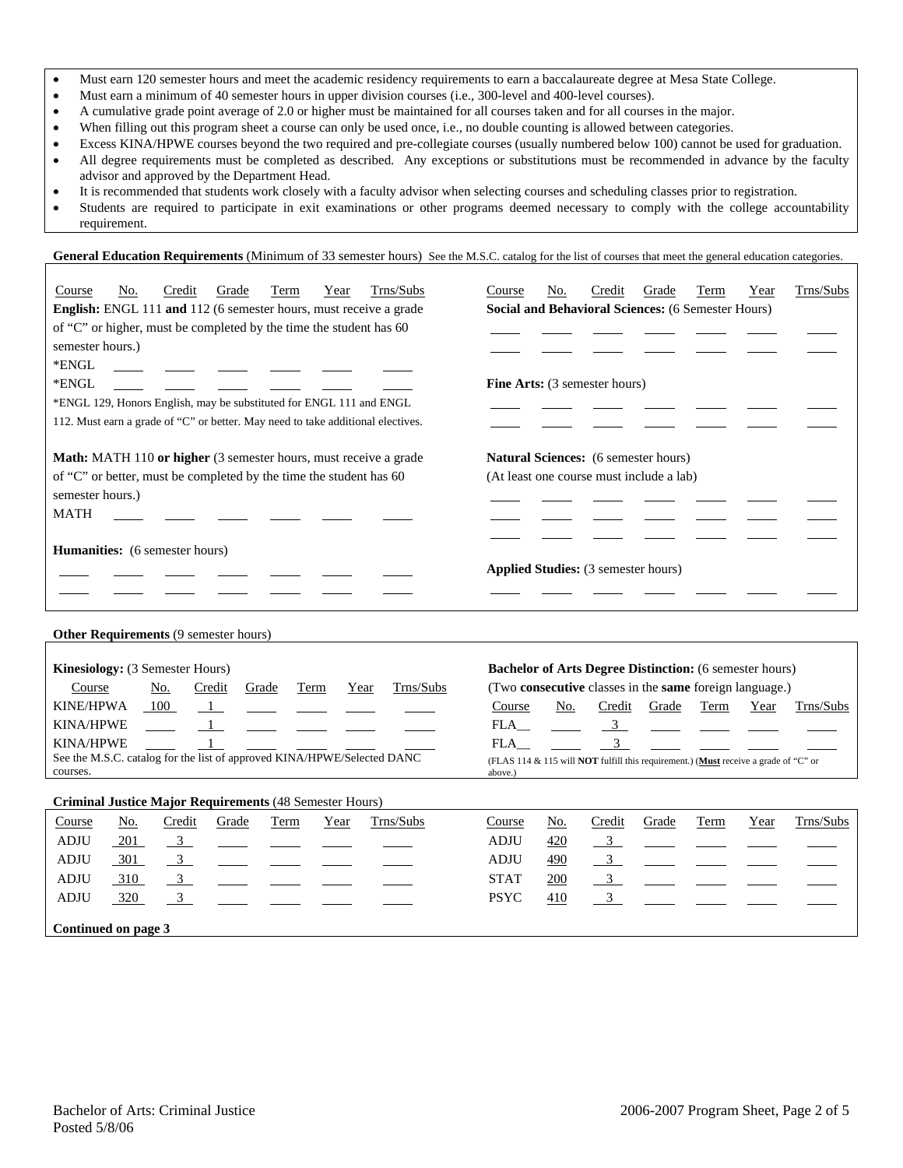- Must earn 120 semester hours and meet the academic residency requirements to earn a baccalaureate degree at Mesa State College.
- Must earn a minimum of 40 semester hours in upper division courses (i.e., 300-level and 400-level courses).
- A cumulative grade point average of 2.0 or higher must be maintained for all courses taken and for all courses in the major.
- When filling out this program sheet a course can only be used once, i.e., no double counting is allowed between categories.
- Excess KINA/HPWE courses beyond the two required and pre-collegiate courses (usually numbered below 100) cannot be used for graduation.
- All degree requirements must be completed as described. Any exceptions or substitutions must be recommended in advance by the faculty advisor and approved by the Department Head.
- It is recommended that students work closely with a faculty advisor when selecting courses and scheduling classes prior to registration.
- Students are required to participate in exit examinations or other programs deemed necessary to comply with the college accountability requirement.

General Education Requirements (Minimum of 33 semester hours) See the M.S.C. catalog for the list of courses that meet the general education categories.

| Trns/Subs<br>No.<br>Credit<br>Grade<br>Course<br>Term<br>Year                       | Trns/Subs<br>No.<br>Credit<br>Course<br>Grade<br>Term<br>Year                                         |  |  |  |  |  |  |
|-------------------------------------------------------------------------------------|-------------------------------------------------------------------------------------------------------|--|--|--|--|--|--|
| English: ENGL 111 and 112 (6 semester hours, must receive a grade                   | Social and Behavioral Sciences: (6 Semester Hours)                                                    |  |  |  |  |  |  |
| of "C" or higher, must be completed by the time the student has 60                  |                                                                                                       |  |  |  |  |  |  |
| semester hours.)                                                                    |                                                                                                       |  |  |  |  |  |  |
| *ENGL                                                                               |                                                                                                       |  |  |  |  |  |  |
| *ENGL                                                                               | Fine Arts: (3 semester hours)                                                                         |  |  |  |  |  |  |
| *ENGL 129, Honors English, may be substituted for ENGL 111 and ENGL                 |                                                                                                       |  |  |  |  |  |  |
| 112. Must earn a grade of "C" or better. May need to take additional electives.     |                                                                                                       |  |  |  |  |  |  |
| Math: MATH 110 or higher (3 semester hours, must receive a grade                    | Natural Sciences: (6 semester hours)                                                                  |  |  |  |  |  |  |
| of "C" or better, must be completed by the time the student has 60                  | (At least one course must include a lab)                                                              |  |  |  |  |  |  |
| semester hours.)                                                                    |                                                                                                       |  |  |  |  |  |  |
| <b>MATH</b>                                                                         |                                                                                                       |  |  |  |  |  |  |
| Humanities: (6 semester hours)                                                      |                                                                                                       |  |  |  |  |  |  |
|                                                                                     | <b>Applied Studies:</b> (3 semester hours)                                                            |  |  |  |  |  |  |
|                                                                                     |                                                                                                       |  |  |  |  |  |  |
|                                                                                     |                                                                                                       |  |  |  |  |  |  |
| Other Requirements (9 semester hours)                                               |                                                                                                       |  |  |  |  |  |  |
| Kinesiology: (3 Semester Hours)                                                     | <b>Bachelor of Arts Degree Distinction:</b> (6 semester hours)                                        |  |  |  |  |  |  |
| Trns/Subs<br>No.<br>Credit<br>Term<br>Course<br>Grade<br>Year                       | (Two consecutive classes in the same foreign language.)                                               |  |  |  |  |  |  |
| <b>KINE/HPWA</b><br>100<br>$\overline{1}$                                           | Course<br>No.<br>Credit<br>Grade<br>Term<br>Trns/Subs<br>Year                                         |  |  |  |  |  |  |
| <b>KINA/HPWE</b><br>1                                                               | $\overline{3}$<br>FLA                                                                                 |  |  |  |  |  |  |
| <b>KINA/HPWE</b><br>$\mathbf{1}$                                                    | $\overline{3}$<br><b>FLA</b>                                                                          |  |  |  |  |  |  |
| See the M.S.C. catalog for the list of approved KINA/HPWE/Selected DANC<br>courses. | (FLAS 114 & 115 will <b>NOT</b> fulfill this requirement.) (Must receive a grade of "C" or<br>above.) |  |  |  |  |  |  |
| <b>Criminal Justice Major Requirements (48 Semester Hours)</b>                      |                                                                                                       |  |  |  |  |  |  |
| Credit<br>Trns/Subs<br>No.<br>Grade<br>Course<br>Term<br>Year                       | Credit<br>Trns/Subs<br>Course<br>No.<br>Grade<br>Term<br>Year                                         |  |  |  |  |  |  |
| <b>ADJU</b><br>201<br>$\overline{3}$                                                | ADJU<br>420<br>$\mathbf{3}$                                                                           |  |  |  |  |  |  |
| <b>ADJU</b><br>301<br>$\frac{3}{2}$                                                 | <b>ADJU</b><br>$\overline{\phantom{0}3}$<br>490                                                       |  |  |  |  |  |  |
| <b>ADJU</b><br>$\overline{3}$<br>310                                                | <b>STAT</b><br>$\overline{3}$<br>200                                                                  |  |  |  |  |  |  |
| <b>ADJU</b><br>320<br>$\mathbf{3}$                                                  | <b>PSYC</b><br>$\mathbf{3}$<br>410                                                                    |  |  |  |  |  |  |
| Continued on page 3                                                                 |                                                                                                       |  |  |  |  |  |  |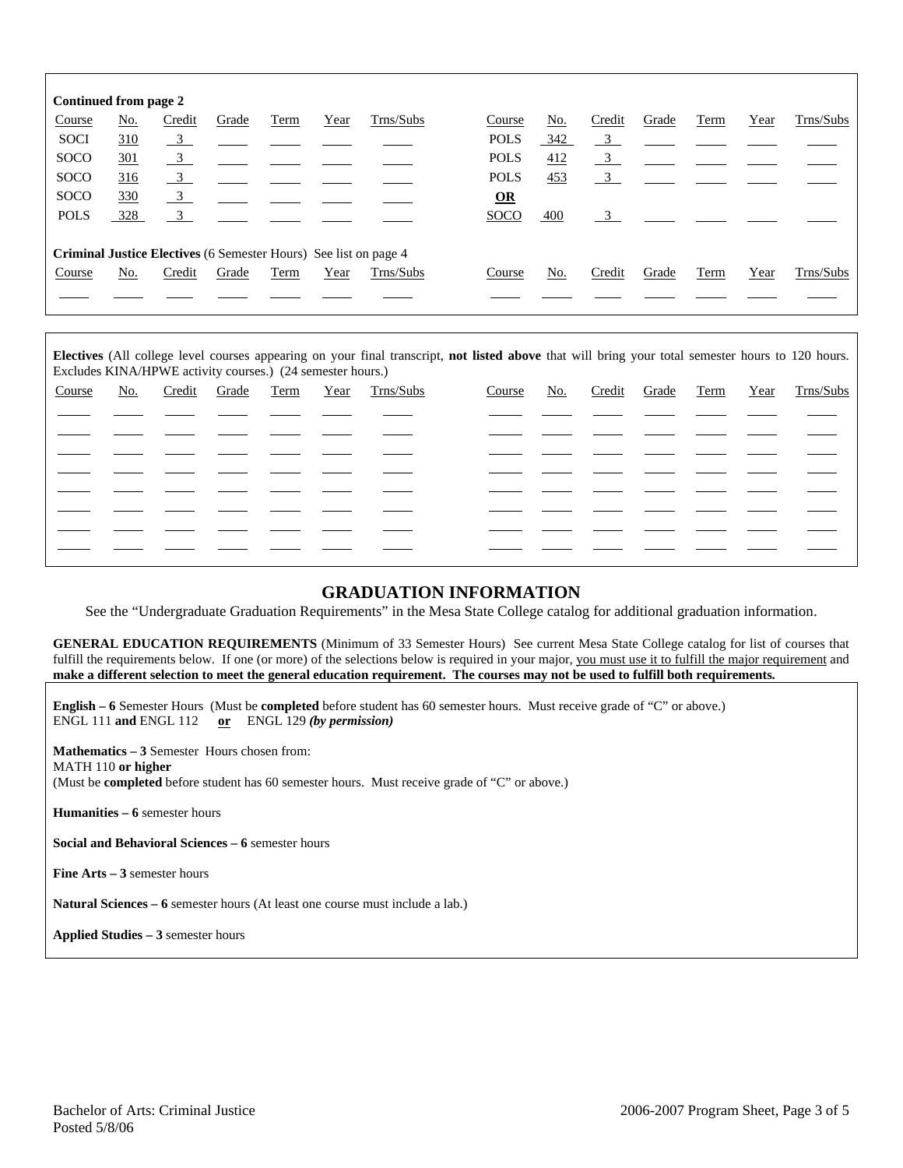| Continued from page 2 |            |                                                                         |       |      |      |           |             |            |                         |       |      |      |           |
|-----------------------|------------|-------------------------------------------------------------------------|-------|------|------|-----------|-------------|------------|-------------------------|-------|------|------|-----------|
| Course                | <u>No.</u> | Credit                                                                  | Grade | Term | Year | Trns/Subs | Course      | <u>No.</u> | Credit                  | Grade | Term | Year | Trns/Subs |
| <b>SOCI</b>           | 310        | $\overline{\phantom{0}3}$                                               |       |      |      |           | <b>POLS</b> | 342        | $\overline{\mathbf{3}}$ |       |      |      |           |
| <b>SOCO</b>           | 301        | $\frac{3}{2}$                                                           |       |      |      |           | <b>POLS</b> | 412        | $\frac{3}{2}$           |       |      |      |           |
| <b>SOCO</b>           | 316        | $\frac{3}{2}$                                                           |       |      |      |           | <b>POLS</b> | 453        | $\overline{\mathbf{3}}$ |       |      |      |           |
| <b>SOCO</b>           | 330        | $\overline{\mathbf{3}}$                                                 |       |      |      |           | $\Omega$    |            |                         |       |      |      |           |
| <b>POLS</b>           | 328        | $\overline{\mathbf{3}}$                                                 |       |      |      |           | <b>SOCO</b> | 400        | 3                       |       |      |      |           |
|                       |            | <b>Criminal Justice Electives</b> (6 Semester Hours) See list on page 4 |       |      |      |           |             |            |                         |       |      |      |           |
| Course                | No.        | Credit                                                                  | Grade | Term | Year | Trns/Subs | Course      | No.        | Credit                  | Grade | Term | Year | Trns/Subs |
|                       |            |                                                                         |       |      |      |           |             |            |                         |       |      |      |           |

**Electives** (All college level courses appearing on your final transcript, **not listed above** that will bring your total semester hours to 120 hours. Excludes KINA/HPWE activity courses.) (24 semester hours.)

| Course | No. | Credit Grade Term |  | Year Trns/Subs | Course | No. |  |  | Credit Grade Term Year Trns/Subs |
|--------|-----|-------------------|--|----------------|--------|-----|--|--|----------------------------------|
|        |     |                   |  |                |        |     |  |  |                                  |
|        |     |                   |  |                |        |     |  |  |                                  |
|        |     |                   |  |                |        |     |  |  |                                  |
|        |     |                   |  |                |        |     |  |  |                                  |
|        |     |                   |  |                |        |     |  |  |                                  |
|        |     |                   |  |                |        |     |  |  |                                  |
|        |     |                   |  |                |        |     |  |  |                                  |
|        |     |                   |  |                |        |     |  |  |                                  |

## **GRADUATION INFORMATION**

See the "Undergraduate Graduation Requirements" in the Mesa State College catalog for additional graduation information.

**GENERAL EDUCATION REQUIREMENTS** (Minimum of 33 Semester Hours) See current Mesa State College catalog for list of courses that fulfill the requirements below. If one (or more) of the selections below is required in your major, you must use it to fulfill the major requirement and **make a different selection to meet the general education requirement. The courses may not be used to fulfill both requirements.**

**English – 6** Semester Hours (Must be **completed** before student has 60 semester hours. Must receive grade of "C" or above.) ENGL 111 **and** ENGL 112 **or** ENGL 129 *(by permission)*

**Mathematics – 3** Semester Hours chosen from: MATH 110 **or higher** (Must be **completed** before student has 60 semester hours. Must receive grade of "C" or above.)

**Humanities – 6** semester hours

**Social and Behavioral Sciences – 6** semester hours

**Fine Arts – 3** semester hours

**Natural Sciences – 6** semester hours (At least one course must include a lab.)

**Applied Studies – 3** semester hours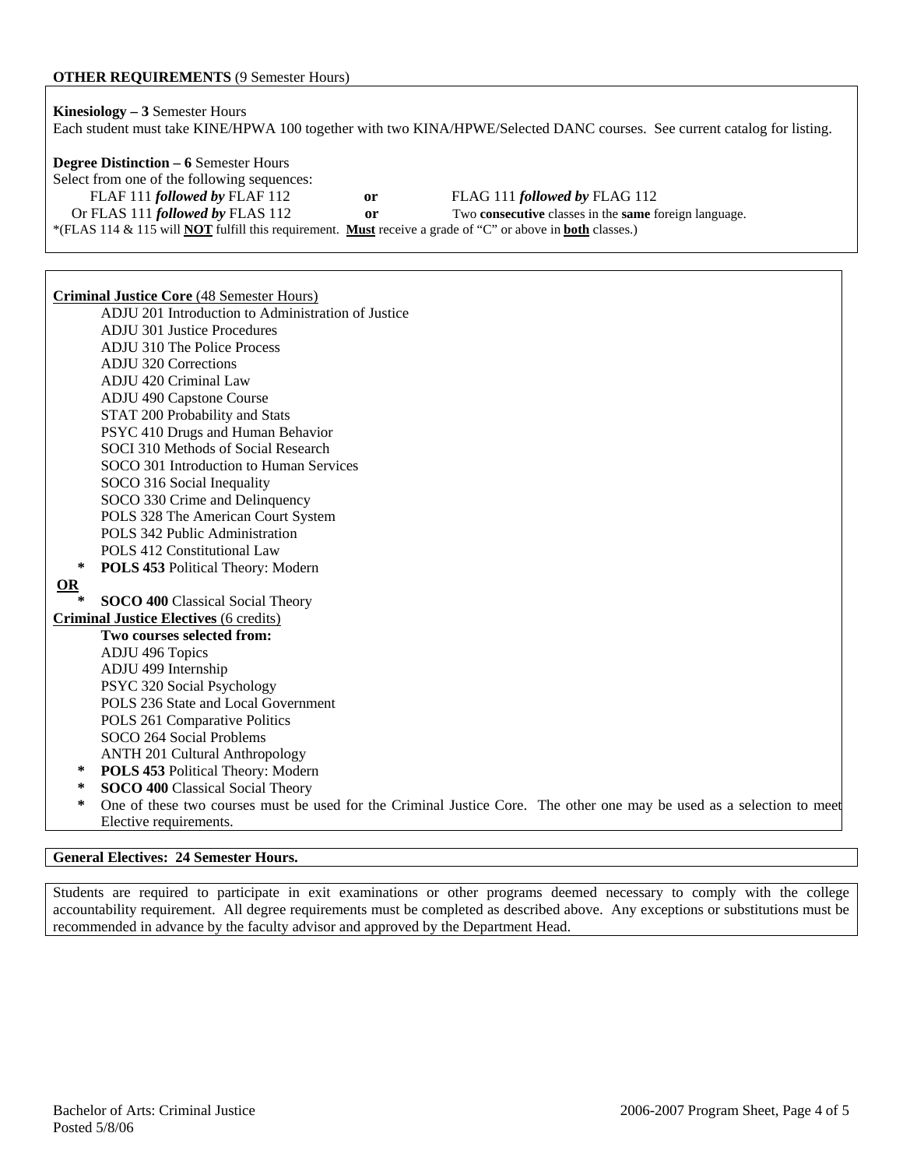#### **OTHER REQUIREMENTS** (9 Semester Hours)

**Kinesiology – 3** Semester Hours Each student must take KINE/HPWA 100 together with two KINA/HPWE/Selected DANC courses. See current catalog for listing. **Degree Distinction – 6** Semester Hours Select from one of the following sequences: FLAF 111 *followed by* FLAF 112 **or** FLAG 111 *followed by* FLAG 112 Or FLAS 111 *followed by* FLAS 112 **or** Two **consecutive** classes in the **same** foreign language. \*(FLAS 114 & 115 will **NOT** fulfill this requirement. **Must** receive a grade of "C" or above in **both** classes.)

**Criminal Justice Core** (48 Semester Hours) ADJU 201 Introduction to Administration of Justice ADJU 301 Justice Procedures ADJU 310 The Police Process ADJU 320 Corrections ADJU 420 Criminal Law ADJU 490 Capstone Course STAT 200 Probability and Stats PSYC 410 Drugs and Human Behavior SOCI 310 Methods of Social Research SOCO 301 Introduction to Human Services SOCO 316 Social Inequality SOCO 330 Crime and Delinquency POLS 328 The American Court System POLS 342 Public Administration POLS 412 Constitutional Law **\* POLS 453** Political Theory: Modern **OR SOCO 400 Classical Social Theory Criminal Justice Electives** (6 credits) **Two courses selected from:**  ADJU 496 Topics ADJU 499 Internship

- PSYC 320 Social Psychology POLS 236 State and Local Government
- POLS 261 Comparative Politics
- SOCO 264 Social Problems
- ANTH 201 Cultural Anthropology
- POLS 453 Political Theory: Modern
- **SOCO 400 Classical Social Theory**
- **\*** One of these two courses must be used for the Criminal Justice Core. The other one may be used as a selection to meet Elective requirements.

#### **General Electives: 24 Semester Hours.**

Students are required to participate in exit examinations or other programs deemed necessary to comply with the college accountability requirement. All degree requirements must be completed as described above. Any exceptions or substitutions must be recommended in advance by the faculty advisor and approved by the Department Head.